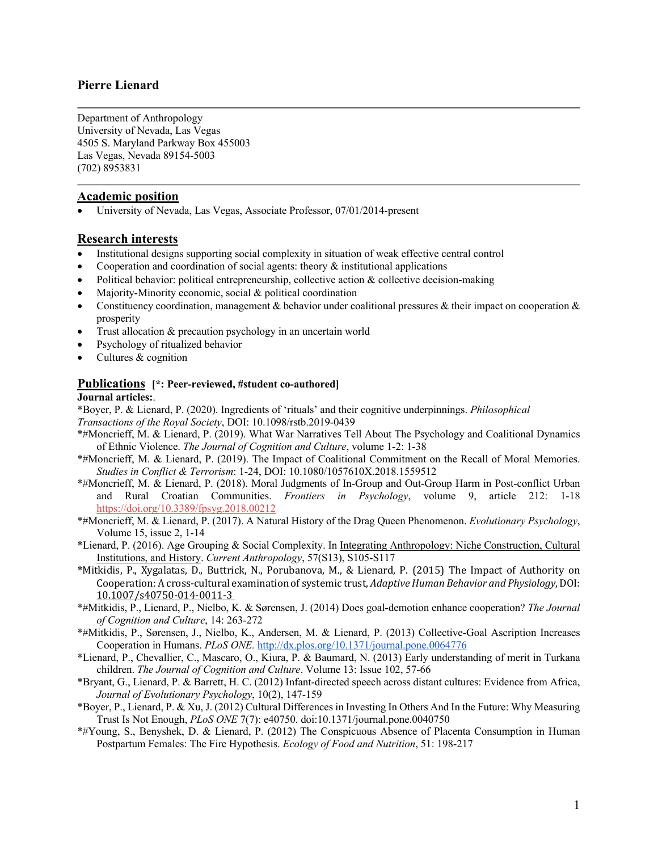# **Pierre Lienard**

Department of Anthropology University of Nevada, Las Vegas 4505 S. Maryland Parkway Box 455003 Las Vegas, Nevada 89154-5003 (702) 8953831

## **Academic position**

• University of Nevada, Las Vegas, Associate Professor, 07/01/2014-present

## **Research interests**

- Institutional designs supporting social complexity in situation of weak effective central control
- Cooperation and coordination of social agents: theory  $\&$  institutional applications
- Political behavior: political entrepreneurship, collective action  $\&$  collective decision-making
- Majority-Minority economic, social & political coordination
- Constituency coordination, management & behavior under coalitional pressures & their impact on cooperation  $\&$ prosperity
- Trust allocation & precaution psychology in an uncertain world
- Psychology of ritualized behavior
- Cultures & cognition

### **Publications [\*: Peer-reviewed, #student co-authored]**

### **Journal articles:**.

\*Boyer, P. & Lienard, P. (2020). Ingredients of 'rituals' and their cognitive underpinnings. *Philosophical Transactions of the Royal Society*, DOI: 10.1098/rstb.2019-0439

- \*#Moncrieff, M. & Lienard, P. (2019). What War Narratives Tell About The Psychology and Coalitional Dynamics of Ethnic Violence. *The Journal of Cognition and Culture*, volume 1-2: 1-38
- \*#Moncrieff, M. & Lienard, P. (2019). The Impact of Coalitional Commitment on the Recall of Moral Memories. *Studies in Conflict & Terrorism*: 1-24, DOI: 10.1080/1057610X.2018.1559512
- \*#Moncrieff, M. & Lienard, P. (2018). Moral Judgments of In-Group and Out-Group Harm in Post-conflict Urban and Rural Croatian Communities. *Frontiers in Psychology*, volume 9, article 212: 1-18 https://doi.org/10.3389/fpsyg.2018.00212
- \*#Moncrieff, M. & Lienard, P. (2017). A Natural History of the Drag Queen Phenomenon. *Evolutionary Psychology*, Volume 15, issue 2, 1-14
- \*Lienard, P. (2016). Age Grouping & Social Complexity. In Integrating Anthropology: Niche Construction, Cultural Institutions, and History. *Current Anthropology*, 57(S13), S105-S117
- \*Mitkidis, P., Xygalatas, D., Buttrick, N., Porubanova, M., & Lienard, P. (2015) The Impact of Authority on Cooperation: A cross-cultural examination of systemic trust, *Adaptive Human Behavior and Physiology*, DOI: 10.1007/s40750-014-0011-3
- \*#Mitkidis, P., Lienard, P., Nielbo, K. & Sørensen, J. (2014) Does goal-demotion enhance cooperation? *The Journal of Cognition and Culture*, 14: 263-272
- \*#Mitkidis, P., Sørensen, J., Nielbo, K., Andersen, M. & Lienard, P. (2013) Collective-Goal Ascription Increases Cooperation in Humans. *PLoS ONE.* http://dx.plos.org/10.1371/journal.pone.0064776
- \*Lienard, P., Chevallier, C., Mascaro, O., Kiura, P. & Baumard, N. (2013) Early understanding of merit in Turkana children. *The Journal of Cognition and Culture*. Volume 13: Issue 102, 57-66
- \*Bryant, G., Lienard, P. & Barrett, H. C. (2012) Infant-directed speech across distant cultures: Evidence from Africa, *Journal of Evolutionary Psychology*, 10(2), 147-159
- \*Boyer, P., Lienard, P. & Xu, J. (2012) Cultural Differences in Investing In Others And In the Future: Why Measuring Trust Is Not Enough, *PLoS ONE* 7(7): e40750. doi:10.1371/journal.pone.0040750
- \*#Young, S., Benyshek, D. & Lienard, P. (2012) The Conspicuous Absence of Placenta Consumption in Human Postpartum Females: The Fire Hypothesis. *Ecology of Food and Nutrition*, 51: 198-217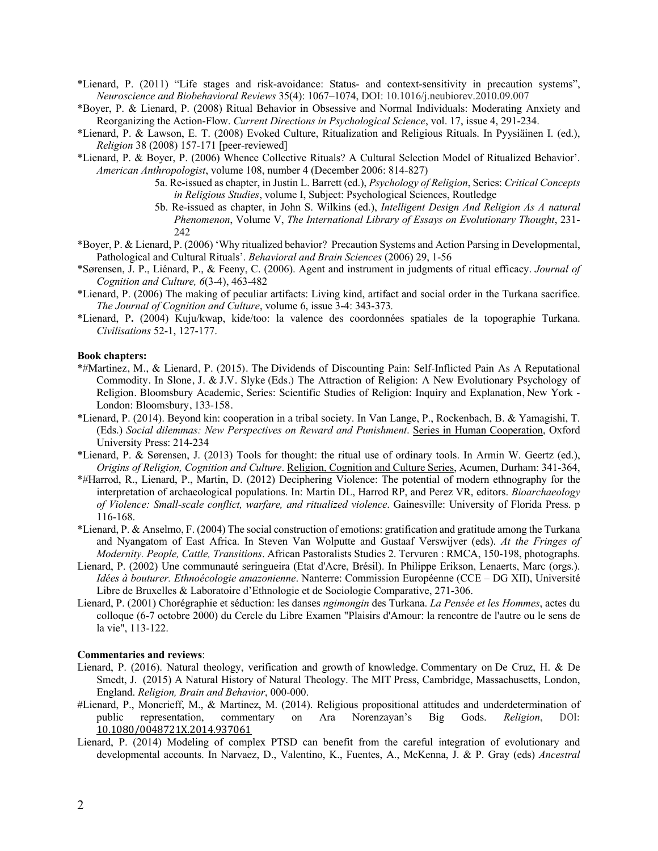- \*Lienard, P. (2011) "Life stages and risk-avoidance: Status- and context-sensitivity in precaution systems", *Neuroscience and Biobehavioral Reviews* 35(4): 1067–1074, DOI: 10.1016/j.neubiorev.2010.09.007
- \*Boyer, P. & Lienard, P. (2008) Ritual Behavior in Obsessive and Normal Individuals: Moderating Anxiety and Reorganizing the Action-Flow. *Current Directions in Psychological Science*, vol. 17, issue 4, 291-234.
- \*Lienard, P. & Lawson, E. T. (2008) Evoked Culture, Ritualization and Religious Rituals. In Pyysiäinen I. (ed.), *Religion* 38 (2008) 157-171 [peer-reviewed]
- \*Lienard, P. & Boyer, P. (2006) Whence Collective Rituals? A Cultural Selection Model of Ritualized Behavior'. *American Anthropologist*, volume 108, number 4 (December 2006: 814-827)
	- 5a. Re-issued as chapter, in Justin L. Barrett (ed.), *Psychology of Religion*, Series: *Critical Concepts in Religious Studies*, volume I, Subject: Psychological Sciences, Routledge
	- 5b. Re-issued as chapter, in John S. Wilkins (ed.), *Intelligent Design And Religion As A natural Phenomenon*, Volume V, *The International Library of Essays on Evolutionary Thought*, 231- 242
- \*Boyer, P. & Lienard, P. (2006) 'Why ritualized behavior? Precaution Systems and Action Parsing in Developmental, Pathological and Cultural Rituals'. *Behavioral and Brain Sciences* (2006) 29, 1-56
- \*Sørensen, J. P., Liénard, P., & Feeny, C. (2006). Agent and instrument in judgments of ritual efficacy. *Journal of Cognition and Culture, 6*(3-4), 463-482
- \*Lienard, P. (2006) The making of peculiar artifacts: Living kind, artifact and social order in the Turkana sacrifice. *The Journal of Cognition and Culture*, volume 6, issue 3-4: 343-373*.*
- \*Lienard, P**.** (2004) Kuju/kwap, kide/too: la valence des coordonnées spatiales de la topographie Turkana. *Civilisations* 52-1, 127-177.

#### **Book chapters:**

- \*#Martinez, M., & Lienard, P. (2015). The Dividends of Discounting Pain: Self-Inflicted Pain As A Reputational Commodity. In Slone, J. & J.V. Slyke (Eds.) The Attraction of Religion: A New Evolutionary Psychology of Religion. Bloomsbury Academic, Series: Scientific Studies of Religion: Inquiry and Explanation, New York - London: Bloomsbury, 133-158.
- \*Lienard, P. (2014). Beyond kin: cooperation in a tribal society. In Van Lange, P., Rockenbach, B. & Yamagishi, T. (Eds.) *Social dilemmas: New Perspectives on Reward and Punishment*. Series in Human Cooperation, Oxford University Press: 214-234
- \*Lienard, P. & Sørensen, J. (2013) Tools for thought: the ritual use of ordinary tools. In Armin W. Geertz (ed.), *Origins of Religion, Cognition and Culture*. Religion, Cognition and Culture Series, Acumen, Durham: 341-364,
- \*#Harrod, R., Lienard, P., Martin, D. (2012) Deciphering Violence: The potential of modern ethnography for the interpretation of archaeological populations. In: Martin DL, Harrod RP, and Perez VR, editors. *Bioarchaeology of Violence: Small-scale conflict, warfare, and ritualized violence*. Gainesville: University of Florida Press. p 116-168.
- \*Lienard, P. & Anselmo, F. (2004) The social construction of emotions: gratification and gratitude among the Turkana and Nyangatom of East Africa. In Steven Van Wolputte and Gustaaf Verswijver (eds). *At the Fringes of Modernity. People, Cattle, Transitions*. African Pastoralists Studies 2. Tervuren : RMCA, 150-198, photographs.
- Lienard, P. (2002) Une communauté seringueira (Etat d'Acre, Brésil). In Philippe Erikson, Lenaerts, Marc (orgs.). *Idées à bouturer. Ethnoécologie amazonienne*. Nanterre: Commission Européenne (CCE – DG XII), Université Libre de Bruxelles & Laboratoire d'Ethnologie et de Sociologie Comparative, 271-306.
- Lienard, P. (2001) Chorégraphie et séduction: les danses *ngimongin* des Turkana. *La Pensée et les Hommes*, actes du colloque (6-7 octobre 2000) du Cercle du Libre Examen "Plaisirs d'Amour: la rencontre de l'autre ou le sens de la vie", 113-122.

#### **Commentaries and reviews**:

- Lienard, P. (2016). Natural theology, verification and growth of knowledge. Commentary on De Cruz, H. & De Smedt, J. (2015) A Natural History of Natural Theology. The MIT Press, Cambridge, Massachusetts, London, England. *Religion, Brain and Behavior*, 000-000.
- #Lienard, P., Moncrieff, M., & Martinez, M. (2014). Religious propositional attitudes and underdetermination of public representation, commentary on Ara Norenzayan's Big Gods. *Religion*, DOI: 10.1080/0048721X.2014.937061
- Lienard, P. (2014) Modeling of complex PTSD can benefit from the careful integration of evolutionary and developmental accounts. In Narvaez, D., Valentino, K., Fuentes, A., McKenna, J. & P. Gray (eds) *Ancestral*